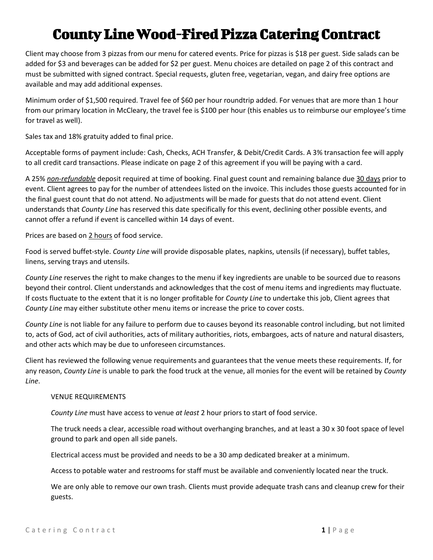## County Line Wood-Fired Pizza Catering Contract

Client may choose from 3 pizzas from our menu for catered events. Price for pizzas is \$18 per guest. Side salads can be added for \$3 and beverages can be added for \$2 per guest. Menu choices are detailed on page 2 of this contract and must be submitted with signed contract. Special requests, gluten free, vegetarian, vegan, and dairy free options are available and may add additional expenses.

Minimum order of \$1,500 required. Travel fee of \$60 per hour roundtrip added. For venues that are more than 1 hour from our primary location in McCleary, the travel fee is \$100 per hour (this enables us to reimburse our employee's time for travel as well).

Sales tax and 18% gratuity added to final price.

Acceptable forms of payment include: Cash, Checks, ACH Transfer, & Debit/Credit Cards. A 3% transaction fee will apply to all credit card transactions. Please indicate on page 2 of this agreement if you will be paying with a card.

A 25% *non-refundable* deposit required at time of booking. Final guest count and remaining balance due 30 days prior to event. Client agrees to pay for the number of attendees listed on the invoice. This includes those guests accounted for in the final guest count that do not attend. No adjustments will be made for guests that do not attend event. Client understands that *County Line* has reserved this date specifically for this event, declining other possible events, and cannot offer a refund if event is cancelled within 14 days of event.

Prices are based on 2 hours of food service.

Food is served buffet-style. *County Line* will provide disposable plates, napkins, utensils (if necessary), buffet tables, linens, serving trays and utensils.

*County Line* reserves the right to make changes to the menu if key ingredients are unable to be sourced due to reasons beyond their control. Client understands and acknowledges that the cost of menu items and ingredients may fluctuate. If costs fluctuate to the extent that it is no longer profitable for *County Line* to undertake this job, Client agrees that *County Line* may either substitute other menu items or increase the price to cover costs.

*County Line* is not liable for any failure to perform due to causes beyond its reasonable control including, but not limited to, acts of God, act of civil authorities, acts of military authorities, riots, embargoes, acts of nature and natural disasters, and other acts which may be due to unforeseen circumstances.

Client has reviewed the following venue requirements and guarantees that the venue meets these requirements. If, for any reason, *County Line* is unable to park the food truck at the venue, all monies for the event will be retained by *County Line*.

## VENUE REQUIREMENTS

*County Line* must have access to venue *at least* 2 hour priors to start of food service.

The truck needs a clear, accessible road without overhanging branches, and at least a 30 x 30 foot space of level ground to park and open all side panels.

Electrical access must be provided and needs to be a 30 amp dedicated breaker at a minimum.

Access to potable water and restrooms for staff must be available and conveniently located near the truck.

We are only able to remove our own trash. Clients must provide adequate trash cans and cleanup crew for their guests.